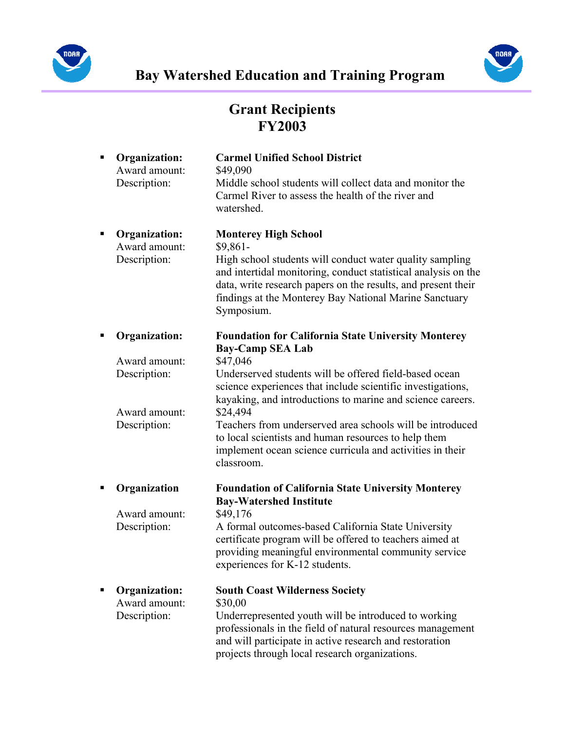



## Grant Recipients FY2003

| п | <b>Organization:</b><br>Award amount:<br>Description: | <b>Carmel Unified School District</b><br>\$49,090<br>Middle school students will collect data and monitor the<br>Carmel River to assess the health of the river and<br>watershed.                                                                                                                               |
|---|-------------------------------------------------------|-----------------------------------------------------------------------------------------------------------------------------------------------------------------------------------------------------------------------------------------------------------------------------------------------------------------|
| Ξ | Organization:<br>Award amount:<br>Description:        | <b>Monterey High School</b><br>$$9,861-$<br>High school students will conduct water quality sampling<br>and intertidal monitoring, conduct statistical analysis on the<br>data, write research papers on the results, and present their<br>findings at the Monterey Bay National Marine Sanctuary<br>Symposium. |
| Е | <b>Organization:</b>                                  | <b>Foundation for California State University Monterey</b><br><b>Bay-Camp SEA Lab</b>                                                                                                                                                                                                                           |
|   | Award amount:                                         | \$47,046                                                                                                                                                                                                                                                                                                        |
|   | Description:<br>Award amount:                         | Underserved students will be offered field-based ocean<br>science experiences that include scientific investigations,<br>kayaking, and introductions to marine and science careers.<br>\$24,494                                                                                                                 |
|   | Description:                                          | Teachers from underserved area schools will be introduced<br>to local scientists and human resources to help them<br>implement ocean science curricula and activities in their<br>classroom.                                                                                                                    |
| п | Organization                                          | <b>Foundation of California State University Monterey</b><br><b>Bay-Watershed Institute</b>                                                                                                                                                                                                                     |
|   | Award amount:                                         | \$49,176                                                                                                                                                                                                                                                                                                        |
|   | Description:                                          | A formal outcomes-based California State University<br>certificate program will be offered to teachers aimed at<br>providing meaningful environmental community service<br>experiences for K-12 students.                                                                                                       |
| П | <b>Organization:</b>                                  | <b>South Coast Wilderness Society</b>                                                                                                                                                                                                                                                                           |
|   | Award amount:<br>Description:                         | \$30,00<br>Underrepresented youth will be introduced to working<br>professionals in the field of natural resources management<br>and will participate in active research and restoration<br>projects through local research organizations.                                                                      |